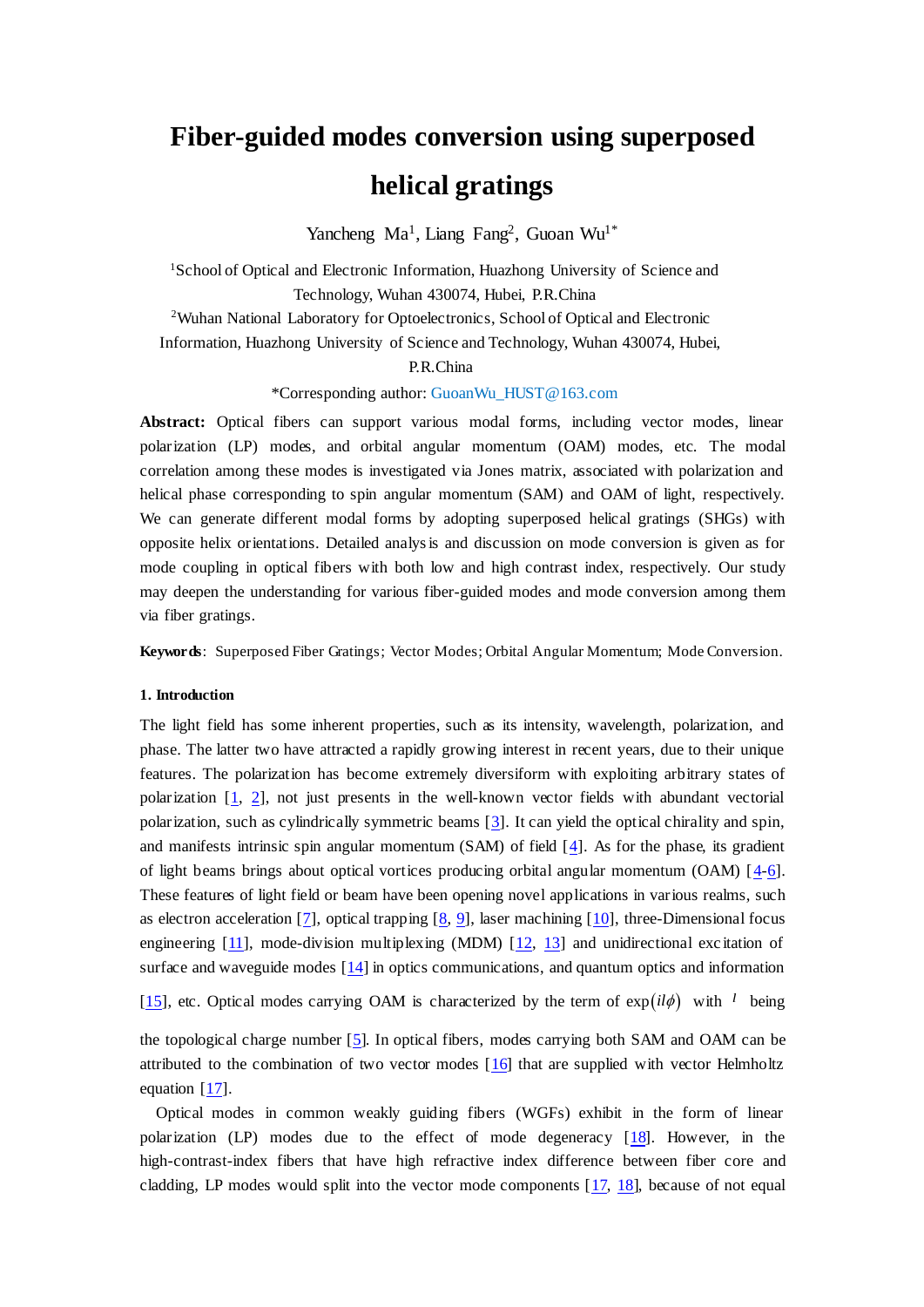# **Fiber-guided modes conversion using superposed helical gratings**

Yancheng Ma<sup>1</sup>, Liang Fang<sup>2</sup>, Guoan Wu<sup>1\*</sup>

<sup>1</sup>School of Optical and Electronic Information, Huazhong University of Science and Technology, Wuhan 430074, Hubei, P.R.China

<sup>2</sup>Wuhan National Laboratory for Optoelectronics, School of Optical and Electronic

Information, Huazhong University of Science and Technology, Wuhan 430074, Hubei,

P.R.China

\*Corresponding author: GuoanWu\_HUST@163.com

**Abstract:** Optical fibers can support various modal forms, including vector modes, linear polarization (LP) modes, and orbital angular momentum (OAM) modes, etc. The modal correlation among these modes is investigated via Jones matrix, associated with polarization and helical phase corresponding to spin angular momentum (SAM) and OAM of light, respectively. We can generate different modal forms by adopting superposed helical gratings (SHGs) with opposite helix orientations. Detailed analysis and discussion on mode conversion is given as for mode coupling in optical fibers with both low and high contrast index, respectively. Our study may deepen the understanding for various fiber-guided modes and mode conversion among them via fiber gratings.

**Keywords**: Superposed Fiber Gratings; Vector Modes; Orbital Angular Momentum; Mode Conversion.

## **1. Introduction**

The light field has some inherent properties, such as its intensity, wavelength, polarization, and phase. The latter two have attracted a rapidly growing interest in recent years, due to their unique features. The polarization has become extremely diversiform with exploiting arbitrary states of polarization [1, 2], not just presents in the well-known vector fields with abundant vectorial polarization, such as cylindrically symmetric beams [3]. It can yield the optical chirality and spin, and manifests intrinsic spin angular momentum (SAM) of field [4]. As for the phase, its gradient of light beams brings about optical vortices producing orbital angular momentum (OAM)  $[4-6]$ . These features of light field or beam have been opening novel applications in various realms, such as electron acceleration [7], optical trapping  $[8, 9]$ , laser machining [10], three-Dimensional focus engineering  $[11]$ , mode-division multiplexing (MDM)  $[12, 13]$  and unidirectional excitation of surface and waveguide modes [14] in optics communications, and quantum optics and information

[15], etc. Optical modes carrying OAM is characterized by the term of  $exp(il\phi)$  with <sup>l</sup> being

the topological charge number [5]. In optical fibers, modes carrying both SAM and OAM can be attributed to the combination of two vector modes  $[16]$  that are supplied with vector Helmholtz equation [17].

Optical modes in common weakly guiding fibers (WGFs) exhibit in the form of linear polarization (LP) modes due to the effect of mode degeneracy [18]. However, in the high-contrast-index fibers that have high refractive index difference between fiber core and cladding, LP modes would split into the vector mode components [17, 18], because of not equal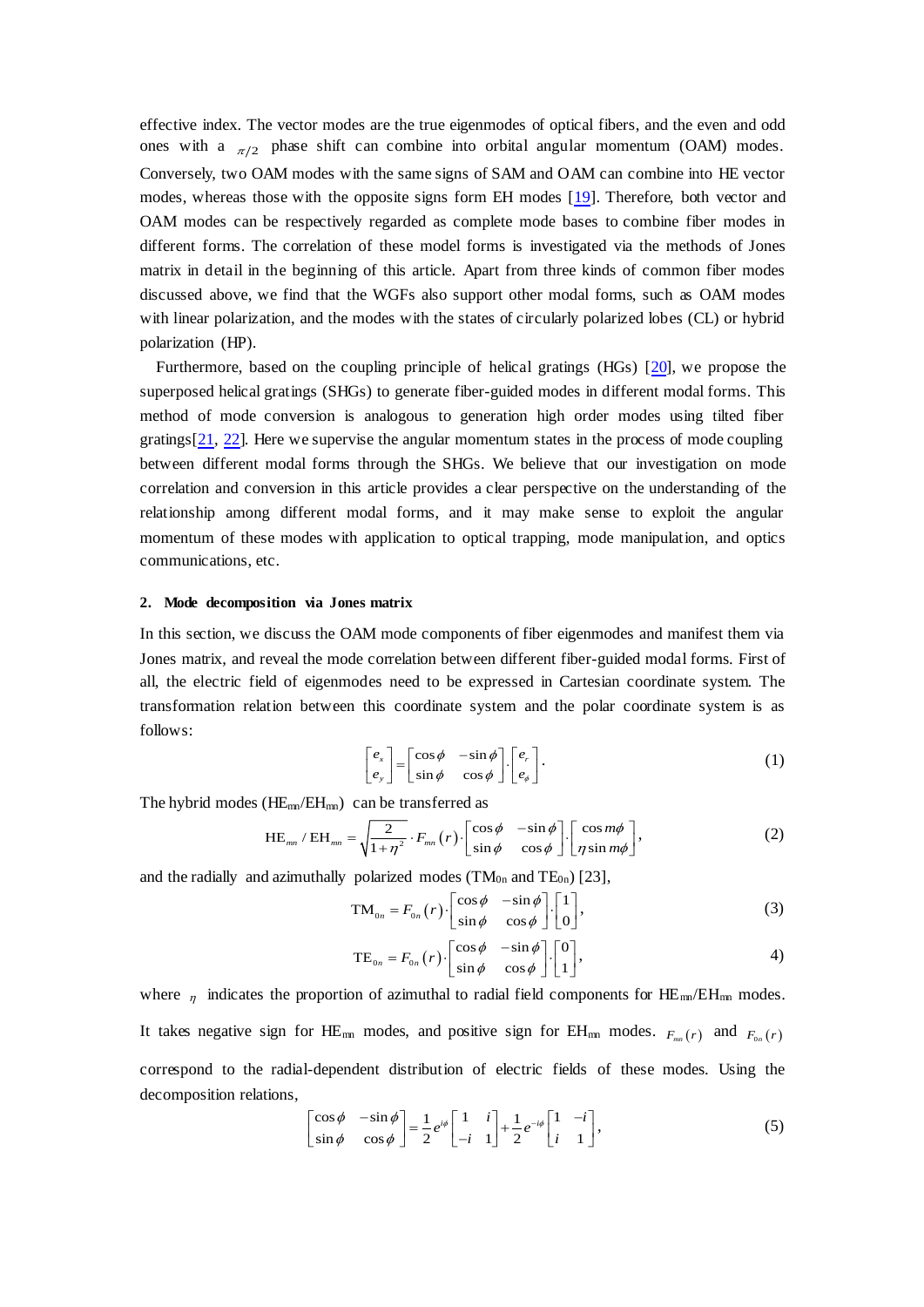effective index. The vector modes are the true eigenmodes of optical fibers, and the even and odd ones with a  $_{\pi/2}$  phase shift can combine into orbital angular momentum (OAM) modes. Conversely, two OAM modes with the same signs of SAM and OAM can combine into HE vector modes, whereas those with the opposite signs form EH modes [19]. Therefore, both vector and OAM modes can be respectively regarded as complete mode bases to combine fiber modes in different forms. The correlation of these model forms is investigated via the methods of Jones matrix in detail in the beginning of this article. Apart from three kinds of common fiber modes discussed above, we find that the WGFs also support other modal forms, such as OAM modes with linear polarization, and the modes with the states of circularly polarized lobes (CL) or hybrid polarization (HP).

Furthermore, based on the coupling principle of helical gratings (HGs) [20], we propose the superposed helical gratings (SHGs) to generate fiber-guided modes in different modal forms. This method of mode conversion is analogous to generation high order modes using tilted fiber gratings[21, 22]. Here we supervise the angular momentum states in the process of mode coupling between different modal forms through the SHGs. We believe that our investigation on mode correlation and conversion in this article provides a clear perspective on the understanding of the relationship among different modal forms, and it may make sense to exploit the angular momentum of these modes with application to optical trapping, mode manipulation, and optics communications, etc.

## **2. Mode decomposition via Jones matrix**

In this section, we discuss the OAM mode components of fiber eigenmodes and manifest them via Jones matrix, and reveal the mode correlation between different fiber-guided modal forms. First of all, the electric field of eigenmodes need to be expressed in Cartesian coordinate system. The transformation relation between this coordinate system and the polar coordinate system is as follows:

$$
\begin{bmatrix} e_x \\ e_y \end{bmatrix} = \begin{bmatrix} \cos \phi & -\sin \phi \\ \sin \phi & \cos \phi \end{bmatrix} \begin{bmatrix} e_r \\ e_{\phi} \end{bmatrix} . \tag{1}
$$

The hybrid modes  $(HE_{mn}/EH_{mn})$  can be transferred as

$$
HE_{mn} / EH_{mn} = \sqrt{\frac{2}{1+\eta^2}} \cdot F_{mn}(r) \cdot \begin{bmatrix} \cos\phi & -\sin\phi \\ \sin\phi & \cos\phi \end{bmatrix} \cdot \begin{bmatrix} \cos m\phi \\ \eta \sin m\phi \end{bmatrix},
$$
 (2)

and the radially and azimuthally polarized modes  $(TM_{0n}$  and  $TE_{0n})$  [23],

$$
\sqrt{1+\eta^2} \text{ mm}^{(1)} \left[\sin \phi \cos \phi \right] \left[\eta \sin m\phi\right]
$$
  
polarized modes (TM<sub>0n</sub> and TE<sub>0n</sub>) [23],  

$$
TM_{0n} = F_{0n}(r) \left[\cos \phi - \sin \phi \right] \left[\begin{array}{c}1\\0\end{array}\right],
$$
(3)  

$$
TE_{0n} = F_{0n}(r) \left[\begin{array}{c} \cos \phi & -\sin \phi \\ \sin \phi & \cos \phi \end{array}\right] \left[\begin{array}{c}0\\0\end{array}\right],
$$
(4)

$$
TM_{0n} = F_{0n}(r) \cdot \begin{bmatrix} \cos \varphi & -\sin \varphi \\ \sin \varphi & \cos \varphi \end{bmatrix} \cdot \begin{bmatrix} 1 \\ 0 \end{bmatrix},
$$
\n
$$
TE_{0n} = F_{0n}(r) \cdot \begin{bmatrix} \cos \varphi & -\sin \varphi \\ \sin \varphi & \cos \varphi \end{bmatrix} \cdot \begin{bmatrix} 0 \\ 1 \end{bmatrix},
$$
\n
$$
4)
$$

where  $\eta$  indicates the proportion of azimuthal to radial field components for HE<sub>mn</sub>/EH<sub>mn</sub> modes. It takes negative sign for HE<sub>mn</sub> modes, and positive sign for EH<sub>mn</sub> modes.  $F_{mn}(r)$  and  $F_{0n}(r)$ correspond to the radial-dependent distribution of electric fields of these modes. Using the decomposition relations,<br>  $\begin{bmatrix} \cos \phi & -\sin \phi \\ \sin \phi & \cos \phi \end{bmatrix} = \frac{1}{2} e^{i\phi} \begin{bmatrix} 1 & i \\ -i & 1 \end{bmatrix} + \frac{1}{2} e^{-i\phi} \begin{bmatrix} 1 & -i \\ i & 1 \end{$ decomposition relations,

$$
\begin{bmatrix}\n\cos\phi & -\sin\phi \\
\sin\phi & \cos\phi\n\end{bmatrix} = \frac{1}{2} e^{i\phi} \begin{bmatrix} 1 & i \\
-i & 1 \end{bmatrix} + \frac{1}{2} e^{-i\phi} \begin{bmatrix} 1 & -i \\
i & 1 \end{bmatrix},
$$
\n(5)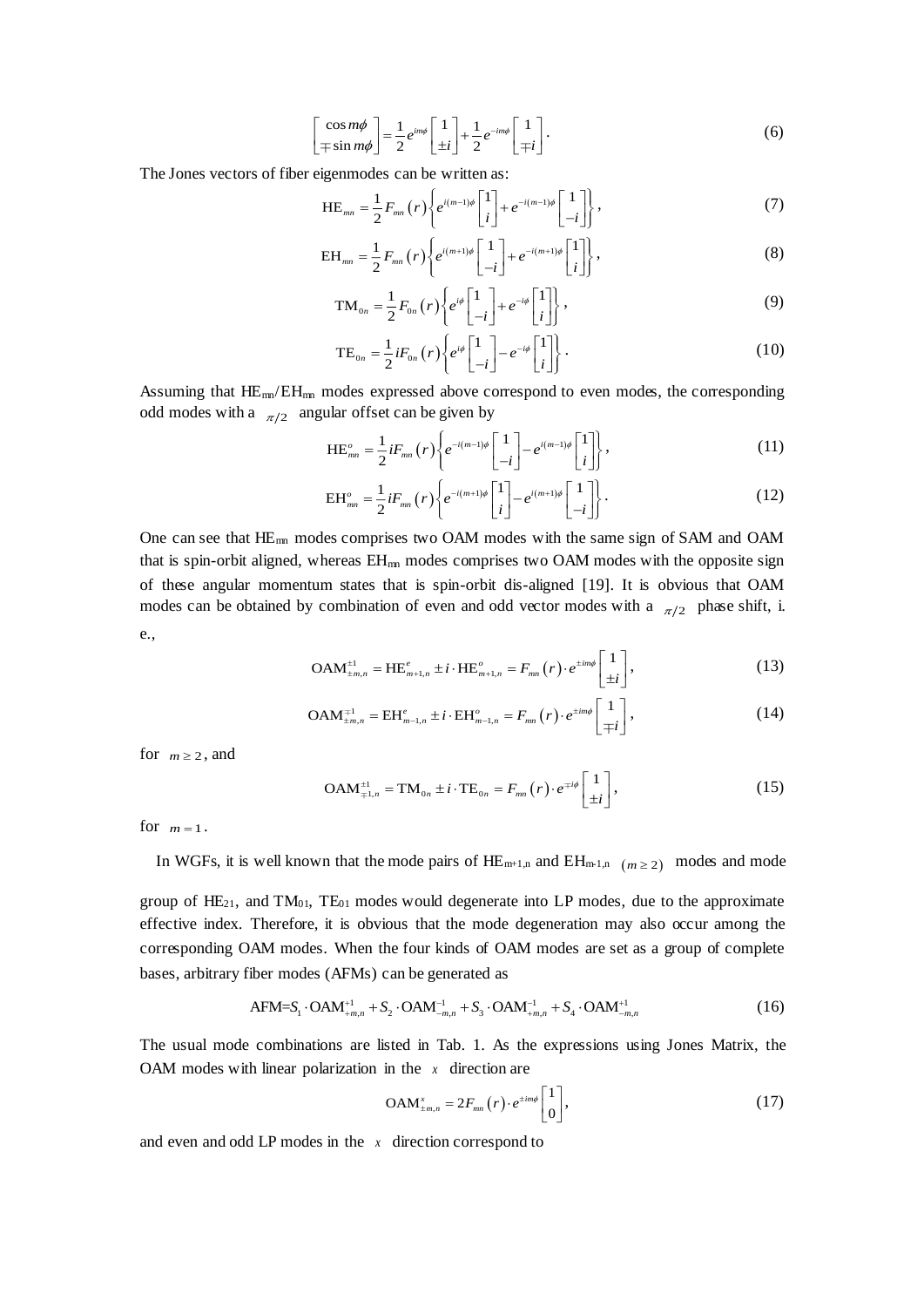$$
\begin{bmatrix}\n\cos m\phi \\
\mp \sin m\phi\n\end{bmatrix} = \frac{1}{2} e^{im\phi} \begin{bmatrix} 1 \\ \pm i \end{bmatrix} + \frac{1}{2} e^{-im\phi} \begin{bmatrix} 1 \\ \mp i \end{bmatrix}.
$$
\n(6)

The Jones vectors of fiber eigenmodes can be written as:

$$
\begin{bmatrix} \mp \sin m\phi \end{bmatrix} \quad 2 \quad \begin{bmatrix} \pm i \end{bmatrix} \quad 2 \quad \begin{bmatrix} \mp i \end{bmatrix}
$$
\nso of fiber eigenmodes can be written as:\n
$$
\text{HE}_{mn} = \frac{1}{2} F_{mn}(r) \left\{ e^{i(m-1)\phi} \begin{bmatrix} 1 \\ i \end{bmatrix} + e^{-i(m-1)\phi} \begin{bmatrix} 1 \\ -i \end{bmatrix} \right\},
$$
\n
$$
\text{EH}_{mn} = \frac{1}{2} F_{mn}(r) \left\{ e^{i(m+1)\phi} \begin{bmatrix} 1 \\ i \end{bmatrix} + e^{-i(m+1)\phi} \begin{bmatrix} 1 \\ i \end{bmatrix} \right\},
$$
\n(8)

$$
HE_{mn} = \frac{1}{2} F_{mn}(r) \left\{ e^{i(m-1)\phi} \begin{bmatrix} 1 \\ i \end{bmatrix} + e^{-i(m-1)\phi} \begin{bmatrix} 1 \\ -i \end{bmatrix} \right\},
$$
\n
$$
EH_{mn} = \frac{1}{2} F_{mn}(r) \left\{ e^{i(m+1)\phi} \begin{bmatrix} 1 \\ -i \end{bmatrix} + e^{-i(m+1)\phi} \begin{bmatrix} 1 \\ i \end{bmatrix} \right\},
$$
\n
$$
TM_{0n} = \frac{1}{2} F_{0n}(r) \left\{ e^{i\phi} \begin{bmatrix} 1 \\ -i \end{bmatrix} + e^{-i\phi} \begin{bmatrix} 1 \\ i \end{bmatrix} \right\},
$$
\n(9)

$$
EH_{mn} = \frac{1}{2} F_{mn}(r) \left\{ e^{i(m+1)\phi} \begin{bmatrix} 1 \\ -i \end{bmatrix} + e^{-i(m+1)\phi} \begin{bmatrix} 1 \\ i \end{bmatrix} \right\},
$$
\n
$$
TM_{0n} = \frac{1}{2} F_{0n}(r) \left\{ e^{i\phi} \begin{bmatrix} 1 \\ -i \end{bmatrix} + e^{-i\phi} \begin{bmatrix} 1 \\ i \end{bmatrix} \right\},
$$
\n
$$
TE_{0n} = \frac{1}{2} i F_{0n}(r) \left\{ e^{i\phi} \begin{bmatrix} 1 \\ -i \end{bmatrix} - e^{-i\phi} \begin{bmatrix} 1 \\ i \end{bmatrix} \right\}.
$$
\n(10)

$$
TM_{0n} = \frac{1}{2} F_{0n} (r) \left\{ e^{i\phi} \begin{bmatrix} 1 \\ -i \end{bmatrix} + e^{-i\phi} \begin{bmatrix} 1 \\ i \end{bmatrix} \right\},
$$
\n
$$
TE_{0n} = \frac{1}{2} i F_{0n} (r) \left\{ e^{i\phi} \begin{bmatrix} 1 \\ -i \end{bmatrix} - e^{-i\phi} \begin{bmatrix} 1 \\ i \end{bmatrix} \right\}.
$$
\n(10)

Assuming that HE<sub>mn</sub>/EH<sub>m</sub> modes expressed above correspond to even modes, the corresponding odd modes with a  $\pi/2$  angular offset can be given by<br>  $\text{HE}_{mm}^{\circ} = \frac{1}{2} i F_{mn}(r) \left\{ e^{-i(m-1)\phi} \begin{bmatrix} 1 \\ -i \end{bmatrix} - e^{i(m-1)\phi} \begin{bmatrix$ odd modes with a  $_{\pi/2}$  angular offset can be given by<br> $\text{HE}_{\text{max}}^o = \frac{1}{2} i F_{\text{max}}(r) \left\{ e^{-i(m-1)\phi} \left[ 1 \right] - e^{i(m-1)\phi} \right\}$ 

$$
EH_{nm} \text{ modes expressed above corresponding}
$$
\n<sub>2</sub> angular offset can be given by\n
$$
HE_{nm}^{\circ} = \frac{1}{2} i F_{mn}(r) \left\{ e^{-i(m-1)\phi} \begin{bmatrix} 1 \\ -i \end{bmatrix} - e^{i(m-1)\phi} \begin{bmatrix} 1 \\ i \end{bmatrix} \right\},\tag{11}
$$
\n
$$
EH_{nm}^{\circ} = \frac{1}{2} i F_{mn}(r) \left\{ e^{-i(m+1)\phi} \begin{bmatrix} 1 \\ i \end{bmatrix} - e^{i(m+1)\phi} \begin{bmatrix} 1 \\ i \end{bmatrix} \right\}.
$$

$$
\begin{aligned}\n\text{HE}_{mm}^{o} &= \frac{1}{2} i F_{mm}(r) \left\{ e^{-i(m-1)\phi} \begin{bmatrix} 1 \\ -i \end{bmatrix} - e^{i(m-1)\phi} \begin{bmatrix} 1 \\ i \end{bmatrix} \right\},\n\end{aligned} \tag{11}
$$
\n
$$
\text{EH}_{mm}^{o} = \frac{1}{2} i F_{mm}(r) \left\{ e^{-i(m+1)\phi} \begin{bmatrix} 1 \\ i \end{bmatrix} - e^{i(m+1)\phi} \begin{bmatrix} 1 \\ -i \end{bmatrix} \right\}.
$$
\n
$$
\text{EH}_{mm}^{o} = \frac{1}{2} i F_{mm}(r) \left\{ e^{-i(m+1)\phi} \begin{bmatrix} 1 \\ i \end{bmatrix} - e^{i(m+1)\phi} \begin{bmatrix} 1 \\ -i \end{bmatrix} \right\}.
$$
\n
$$
\tag{12}
$$

One can see that HEmn modes comprises two OAM modes with the same sign of SAM and OAM that is spin-orbit aligned, whereas  $EH_{mn}$  modes comprises two OAM modes with the opposite sign of these angular momentum states that is spin-orbit dis-aligned [19]. It is obvious that OAM modes can be obtained by combination of even and odd vector modes with a  $_{\pi/2}$  phase shift, i.<br>
e.,<br>  $OAM^{\pm 1}_{\pm m,n} = HE^e_{m+1,n} \pm i \cdot HE^o_{m+1,n} = F_{mn}(r) \cdot e^{\pm im\phi} \begin{bmatrix} 1 \\ \pm i \end{bmatrix},$  (13) e.,

$$
\text{OAM}_{\pm m,n}^{\pm 1} = \text{HE}_{m+1,n}^{\epsilon} \pm i \cdot \text{HE}_{m+1,n}^{\circ} = F_{mn}(r) \cdot e^{\pm im\phi} \begin{bmatrix} 1 \\ \pm i \end{bmatrix},\tag{13}
$$

$$
\text{OAM}^{\pm 1}_{\pm m,n} = \text{HE}^{\epsilon}_{m+1,n} \pm i \cdot \text{HE}^{\circ}_{m+1,n} = F_{mn}(r) \cdot e^{\pm im\phi} \begin{bmatrix} 1 \\ \pm i \end{bmatrix},
$$
\n
$$
\text{OAM}^{\mp 1}_{\pm m,n} = \text{EH}^{\epsilon}_{m-1,n} \pm i \cdot \text{EH}^{\circ}_{m-1,n} = F_{mn}(r) \cdot e^{\pm im\phi} \begin{bmatrix} 1 \\ \mp i \end{bmatrix},
$$
\n
$$
(14)
$$

for  $m \geq 2$ , and

$$
\left[\mp i\right]'
$$
\n
$$
\left[\pm i\right]'
$$
\n
$$
\left[\pm i\right]'
$$
\n
$$
\left[\pm i\right]'
$$
\n
$$
\left[\pm i\right]'
$$
\n
$$
\left[\pm i\right]'
$$
\n
$$
\left[\pm i\right]'
$$
\n
$$
\left[\pm i\right]'
$$
\n
$$
\left[\pm i\right]'
$$
\n
$$
\left[\pm i\right]'
$$
\n
$$
\left[\pm i\right]'
$$
\n
$$
\left[\pm i\right]'
$$
\n
$$
\left[\pm i\right]'
$$
\n
$$
\left[\pm i\right]'
$$
\n
$$
\left[\pm i\right]'
$$
\n
$$
\left[\pm i\right]'
$$
\n
$$
\left[\pm i\right]'
$$
\n
$$
\left[\pm i\right]'
$$
\n
$$
\left[\pm i\right]'
$$
\n
$$
\left[\pm i\right]'
$$
\n
$$
\left[\pm i\right]'
$$
\n
$$
\left[\pm i\right]'
$$
\n
$$
\left[\pm i\right]'
$$
\n
$$
\left[\pm i\right]'
$$
\n
$$
\left[\pm i\right]'
$$
\n
$$
\left[\pm i\right]'
$$
\n
$$
\left[\pm i\right]'
$$
\n
$$
\left[\pm i\right]'
$$
\n
$$
\left[\pm i\right]'
$$
\n
$$
\left[\pm i\right]'
$$
\n
$$
\left[\pm i\right]'
$$
\n
$$
\left[\pm i\right]'
$$
\n
$$
\left[\pm i\right]'
$$
\n
$$
\left[\pm i\right]'
$$
\n
$$
\left[\pm i\right]'
$$
\n
$$
\left[\pm i\right]'
$$
\n
$$
\left[\pm i\right]'
$$
\n
$$
\left[\pm i\right]'
$$
\n
$$
\left[\pm i\right]'
$$
\n
$$
\left[\pm i\right]'
$$
\n
$$
\left[\pm i\right]'
$$
\n
$$
\left[\pm i\right]'
$$
\n
$$
\left[\pm i\right]'
$$
\n
$$
\left[\pm i\right]'
$$
\n
$$
\left[\pm i\right]'
$$
\n

for  $m=1$ .

In WGFs, it is well known that the mode pairs of  $HE_{m+1,n}$  and  $EH_{m+1,n}$  ( $m \ge 2$ ) modes and mode

group of  $HE_{21}$ , and  $TM_{01}$ ,  $TE_{01}$  modes would degenerate into LP modes, due to the approximate effective index. Therefore, it is obvious that the mode degeneration may also occur among the corresponding OAM modes. When the four kinds of OAM modes are set as a group of complete bases, arbitrary fiber modes (AFMs) can be generated as

<sup>1</sup> <sup>1</sup> <sup>1</sup> <sup>1</sup> AFM= OAM OAM OAM OAM <sup>1</sup> , <sup>2</sup> , <sup>3</sup> , <sup>4</sup> , *<sup>m</sup> <sup>n</sup> <sup>m</sup> <sup>n</sup> <sup>m</sup> <sup>n</sup> <sup>m</sup> <sup>n</sup> <sup>S</sup> <sup>S</sup> <sup>S</sup> <sup>S</sup>* (16)

The usual mode combinations are listed in Tab. 1. As the expressions using Jones Matrix, the OAM modes with linear polarization in the  $x$  direction are

$$
\text{OAM}_{\pm m,n}^x = 2F_{mn}(r) \cdot e^{\pm im\phi} \begin{bmatrix} 1 \\ 0 \end{bmatrix},\tag{17}
$$

and even and odd LP modes in the  $x$  direction correspond to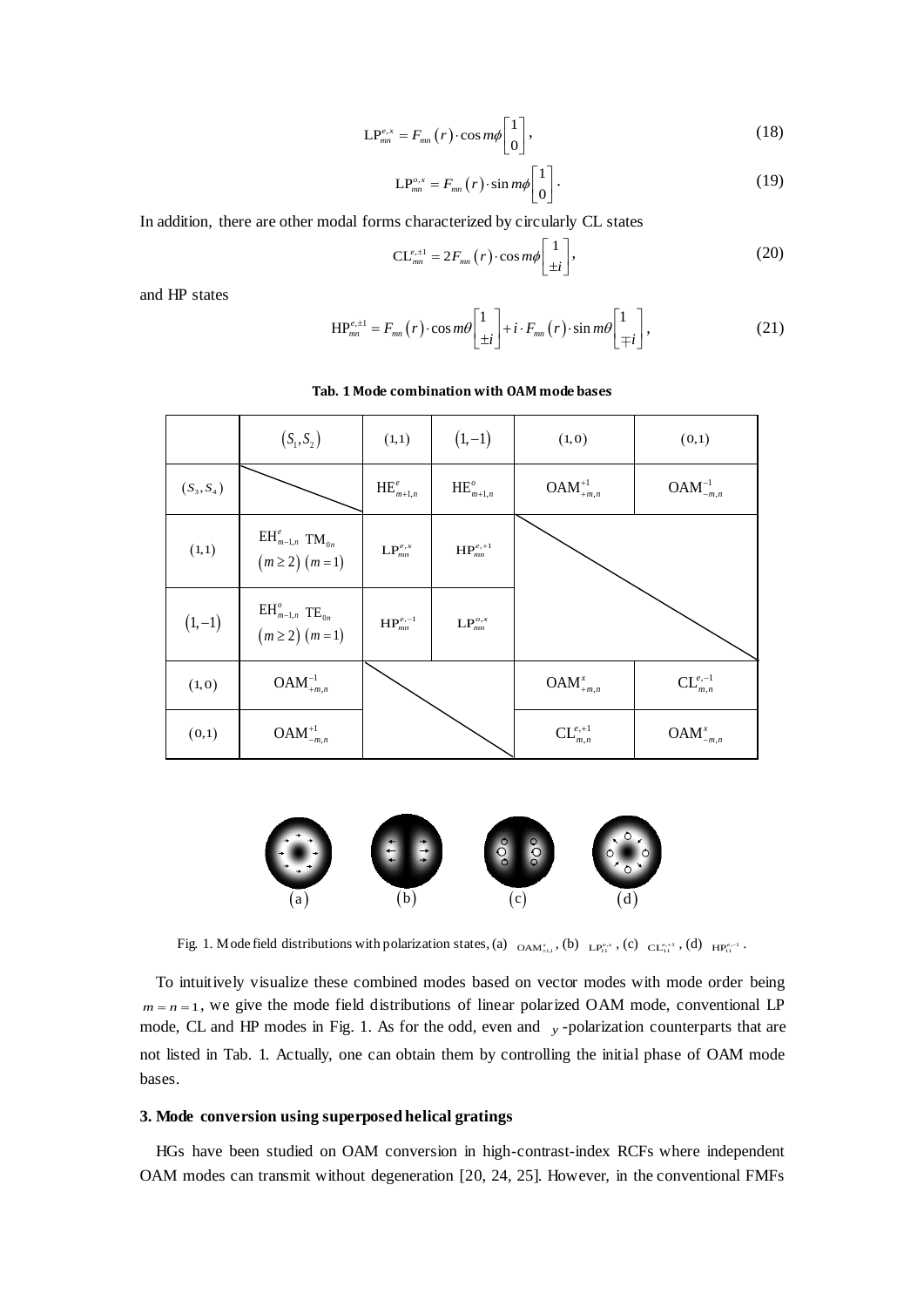$$
\mathcal{LP}_{mn}^{e,x} = F_{mn}(r) \cdot \cos m\phi \begin{bmatrix} 1 \\ 0 \end{bmatrix},\tag{18}
$$

$$
LP_{mn}^{o,x} = F_{mn}(r) \cdot \sin m\phi \begin{bmatrix} 1 \\ 0 \end{bmatrix} . \tag{19}
$$

In addition, there are other modal forms characterized by circularly CL states

$$
\mathrm{CL}_{_{mn}}^{\epsilon,\pm 1} = 2F_{_{mn}}(r) \cdot \cos m\phi \left[\frac{1}{\pm i}\right],\tag{20}
$$

and HP states

$$
HP_{mn}^{e,\pm 1} = F_{mn}(r) \cdot \cos m\theta \begin{bmatrix} 1 \\ \pm i \end{bmatrix} + i \cdot F_{mn}(r) \cdot \sin m\theta \begin{bmatrix} 1 \\ \mp i \end{bmatrix},
$$
(21)

|              | $(S_1, S_2)$                                                                                   | (1,1)                         | $(1,-1)$                                                         | (1, 0)                     | (0,1)                   |
|--------------|------------------------------------------------------------------------------------------------|-------------------------------|------------------------------------------------------------------|----------------------------|-------------------------|
| $(S_3, S_4)$ |                                                                                                | $\operatorname{HE}_{m+1,n}^e$ | $\operatorname{HE}_{m+1,n}^o$                                    | $\mathbf{OAM}^{+1}_{+m,n}$ | $OAM^{-1}_{-m,n}$       |
| (1,1)        | $\mathop{\rm EH}\nolimits_{m-1,n}^e \ \mathop{\rm TM}\nolimits_{0n}$<br>$(m \geq 2)$ $(m = 1)$ | $\mathbf{LP}_{mn}^{e,x}$      | $\mathbf{HP}^{e,+1}_{mn}$                                        |                            |                         |
| $(1,-1)$     | $\text{EH}^o_{m-1,n}$ TE <sub>0n</sub><br>( <i>m</i> $\geq$ 2) ( <i>m</i> = 1)                 | $\mathbf{HP}^{e,-1}_{mn}$     | $\mathsf{LP}_{\scriptscriptstyle{mn}}^{\scriptscriptstyle{o,x}}$ |                            |                         |
| (1,0)        | $OAM^{-1}_{+m,n}$                                                                              |                               |                                                                  | $\mathbf{OAM}^x_{+m,n}$    | $CL^{e,-1}_{m,n}$       |
| (0,1)        | $OAM_{-m,n}^{+1}$                                                                              |                               |                                                                  | $\mathrm{CL}_{m,n}^{e,+1}$ | $\mathbf{OAM}^x_{-m,n}$ |

#### **Tab. 1 Mode combination with OAM modebases**



Fig. 1. Mode field distributions with polarization states, (a)  $_{\text{OAM}^x_{\text{all}}}$ , (b)  $_{\text{LP}^{e^x}_{11}}$ , (c)  $_{\text{CL}^{e,*1}_{11}}$ , (d)  $_{\text{HP}^{e^{-1}}_{11}}$ .

To intuitively visualize these combined modes based on vector modes with mode order being  $m = n = 1$ , we give the mode field distributions of linear polarized OAM mode, conventional LP mode, CL and HP modes in Fig. 1. As for the odd, even and y-polarization counterparts that are not listed in Tab. 1. Actually, one can obtain them by controlling the initial phase of OAM mode bases.

## **3. Mode conversion using superposed helical gratings**

HGs have been studied on OAM conversion in high-contrast-index RCFs where independent OAM modes can transmit without degeneration [20, 24, 25]. However, in the conventional FMFs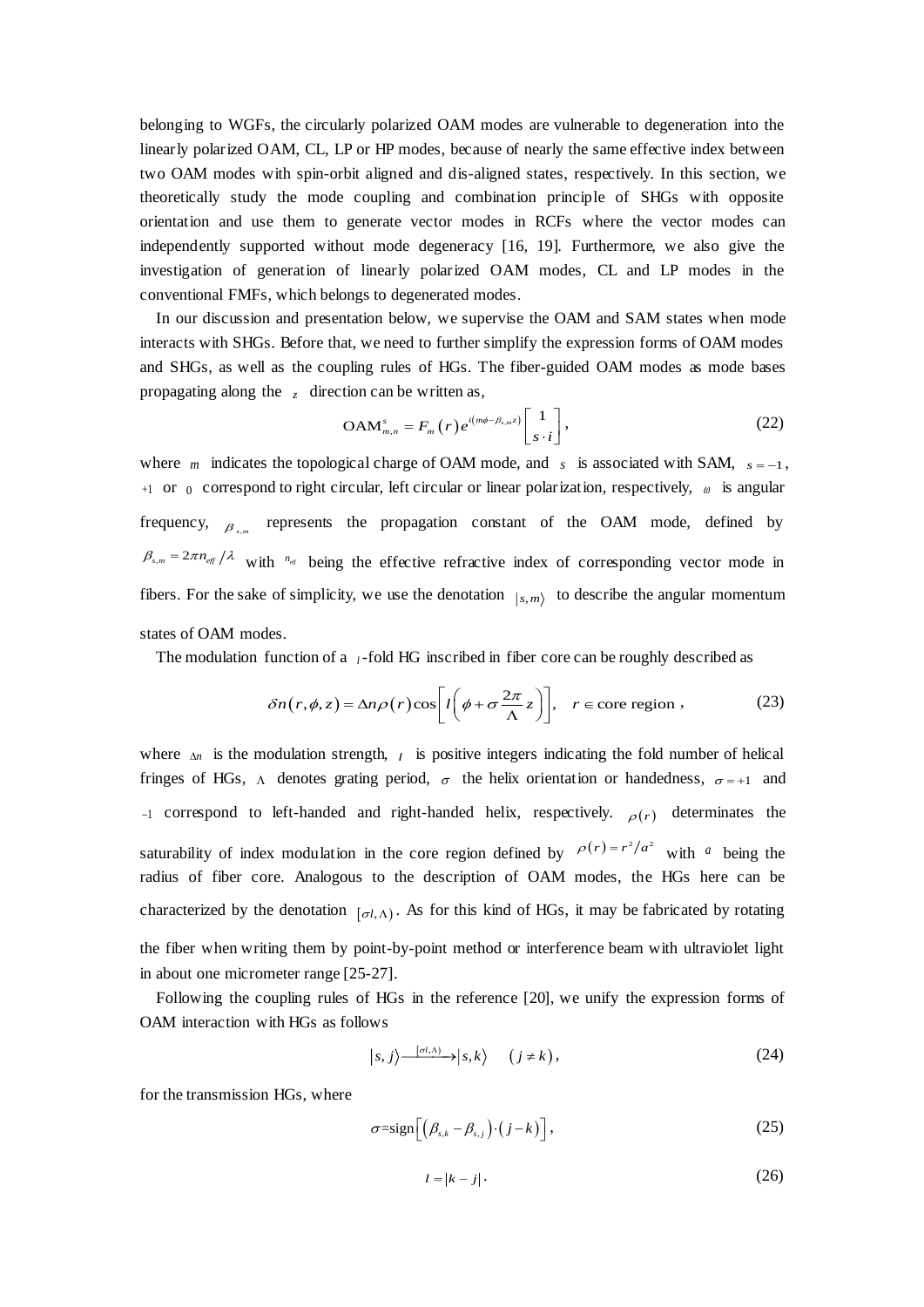belonging to WGFs, the circularly polarized OAM modes are vulnerable to degeneration into the linearly polarized OAM, CL, LP or HP modes, because of nearly the same effective index between two OAM modes with spin-orbit aligned and dis-aligned states, respectively. In this section, we theoretically study the mode coupling and combination principle of SHGs with opposite orientation and use them to generate vector modes in RCFs where the vector modes can independently supported without mode degeneracy [16, 19]. Furthermore, we also give the investigation of generation of linearly polarized OAM modes, CL and LP modes in the conventional FMFs, which belongs to degenerated modes.

In our discussion and presentation below, we supervise the OAM and SAM states when mode interacts with SHGs. Before that, we need to further simplify the expression forms of OAM modes and SHGs, as well as the coupling rules of HGs. The fiber-guided OAM modes as mode bases<br>propagating along the z direction can be written as,<br> $OAM_{m,n}^s = F_m(r)e^{i(m\phi - \beta_{s,m}z)}\begin{bmatrix} 1 \\ s \end{bmatrix}$ , (22) propagating along the *z* direction can be written as,

The coupling rules of HGs. The fiber-guided OAM modes as mode bases  
\nz direction can be written as,  
\n
$$
OAM_{m,n}^{s} = F_m(r)e^{i(m\phi - \beta_{s,m}z)} \begin{bmatrix} 1 \\ s \cdot i \end{bmatrix},
$$
\n(22)

where *m* indicates the topological charge of OAM mode, and *s* is associated with SAM,  $s = -1$ ,  $+1$  or  $\alpha$  correspond to right circular, left circular or linear polarization, respectively,  $\alpha$  is angular frequency,  $\beta_{s,m}$  represents the propagation constant of the OAM mode, defined by frequency,  $\beta_{s,m}$  represents the propagation constant of the OAM mode, defined by  $\beta_{s,m} = 2\pi n_{\text{eff}}/\lambda$  with  $n_{\text{eff}}$  being the effective refractive index of corresponding vector mode in fibers. For the sake of simplicity, we use the denotation  $|_{s,m}\rangle$  to describe the angular momentum states of OAM modes.

The modulation function of a *<sup>l</sup>*-fold HG inscribed in fiber core can be roughly described as

$$
\delta n(r,\phi,z) = \Delta n \rho(r) \cos \left[ l \left( \phi + \sigma \frac{2\pi}{\Lambda} z \right) \right], \quad r \in \text{core region}, \tag{23}
$$

where  $\Delta n$  is the modulation strength,  $\ell$  is positive integers indicating the fold number of helical fringes of HGs,  $\Lambda$  denotes grating period,  $\sigma$  the helix orientation or handedness,  $\sigma = +1$  and  $-1$  correspond to left-handed and right-handed helix, respectively.  $\rho(r)$  determinates the saturability of index modulation in the core region defined by  $\rho(r) = r^2/a^2$  with a being the radius of fiber core. Analogous to the description of OAM modes, the HGs here can be characterized by the denotation  $_{[\sigma l, \Lambda)}$ . As for this kind of HGs, it may be fabricated by rotating the fiber when writing them by point-by-point method or interference beam with ultraviolet light in about one micrometer range [25-27].

Following the coupling rules of HGs in the reference [20], we unify the expression forms of AM interaction with HGs as follows<br>  $|s, j\rangle \xrightarrow{[\sigma t, \Delta)} |s, k\rangle$   $(j \neq k)$ , (24) OAM interaction with HGs as follows  $\exists$  tys in the reference s<br>s<br> $\langle a, j \rangle \xrightarrow{[\sigma t, \Lambda)} |s, k \rangle$ *HCs* in the reference [20],<br> *ss*  $\langle s, j \rangle \frac{[\sigma(\Lambda)]}{\sigma(\Lambda)} | s, k \rangle$  ( $j \neq k$ ),

$$
|s,j\rangle \frac{|a_{\lambda}\rangle|}{\langle s,k\rangle} |s,k\rangle \quad (j \neq k), \tag{24}
$$

for the transmission HGs, where

Gs, where  

$$
\sigma = \text{sign}\Big[\Big(\beta_{s,k} - \beta_{s,j}\Big)\cdot (j-k)\Big],
$$
 (25)

$$
\left[\begin{array}{cc} \left(\rho_{s,k} & \rho_{s,j}\right) \ (j - \kappa)\end{array}\right],\tag{26}
$$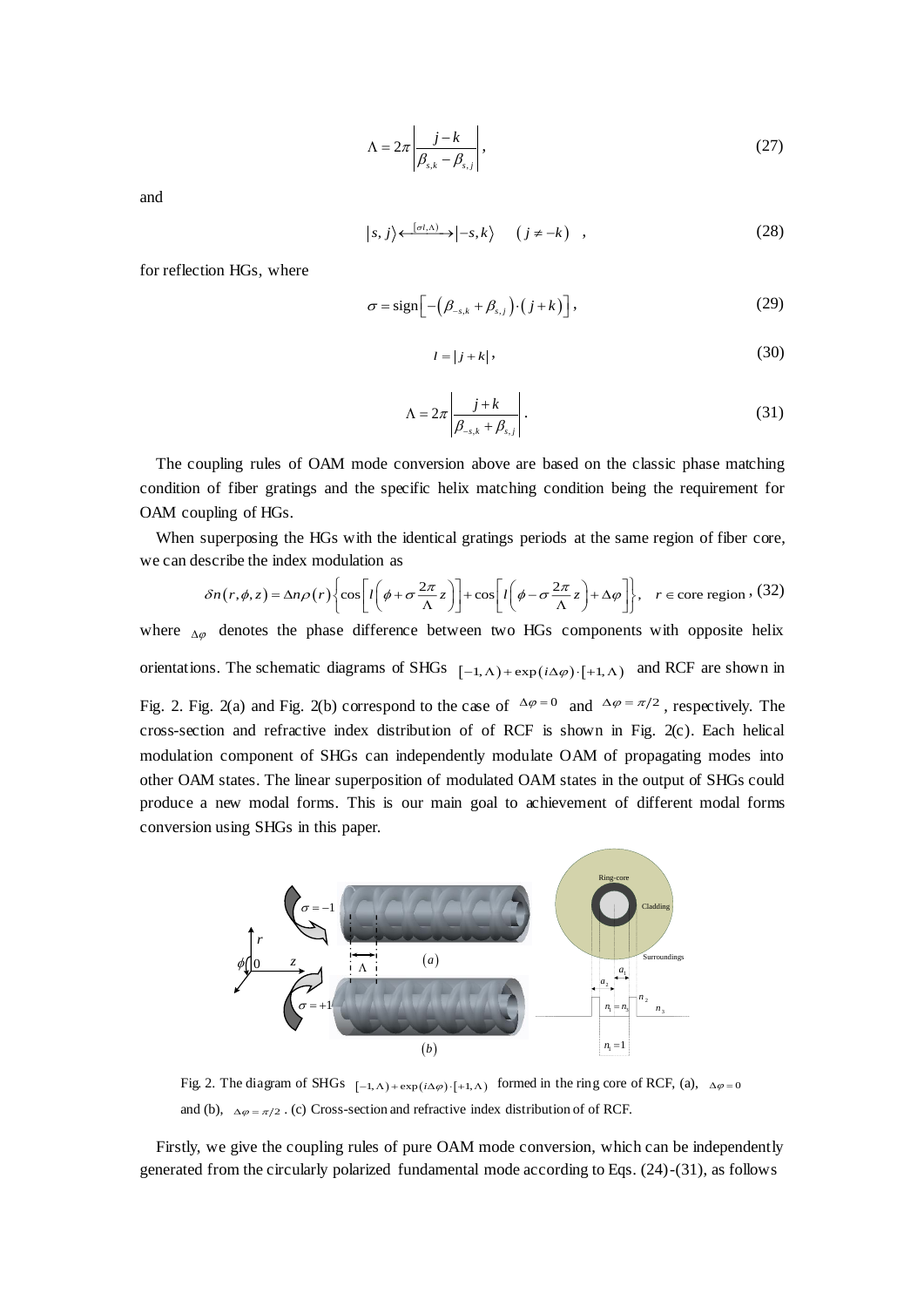$$
\Lambda = 2\pi \left| \frac{j - k}{\beta_{s,k} - \beta_{s,j}} \right|,\tag{27}
$$

and

$$
|s,j\rangle \leftarrow^{[\sigma t,\Lambda)} \rightarrow |-s,k\rangle \quad (j \neq -k) \quad , \tag{28}
$$

for reflection HGs, where

n HGs, where  
\n
$$
\sigma = sign\Big[ -\Big(\beta_{-s,k} + \beta_{s,j}\Big) \cdot \Big(j+k\Big) \Big],
$$
\n(29)  
\n
$$
l = |j+k|,
$$
\n(30)

$$
l = |j + k|,\tag{30}
$$

$$
\Lambda = 2\pi \left| \frac{j+k}{\beta_{-s,k} + \beta_{s,j}} \right|.
$$
\n(31)

The coupling rules of OAM mode conversion above are based on the classic phase matching condition of fiber gratings and the specific helix matching condition being the requirement for OAM coupling of HGs.

When superposing the HGs with the identical gratings periods at the same region of fiber core, we can describe the index modulation as

$$
\delta n(r,\phi,z) = \Delta n \rho(r) \left\{ \cos \left[ l \left( \phi + \sigma \frac{2\pi}{\Lambda} z \right) \right] + \cos \left[ l \left( \phi - \sigma \frac{2\pi}{\Lambda} z \right) + \Delta \varphi \right] \right\}, \quad r \in \text{core region}, \text{ (32)}
$$

where  $_{\Delta\varphi}$  denotes the phase difference between two HGs components with opposite helix orientations. The schematic diagrams of SHGs  $[-1, \Lambda) + \exp(i \Delta \varphi) \cdot [+1, \Lambda)$  and RCF are shown in

Fig. 2. Fig. 2(a) and Fig. 2(b) correspond to the case of  $\Delta \varphi = 0$  and  $\Delta \varphi = \pi/2$ , respectively. The cross-section and refractive index distribution of of RCF is shown in Fig. 2(c). Each helical modulation component of SHGs can independently modulate OAM of propagating modes into other OAM states. The linear superposition of modulated OAM states in the output of SHGs could produce a new modal forms. This is our main goal to achievement of different modal forms conversion using SHGs in this paper.



and (b),  $\Delta \varphi = \pi/2$ . (c) Cross-section and refractive index distribution of of RCF.

Firstly, we give the coupling rules of pure OAM mode conversion, which can be independently generated from the circularly polarized fundamental mode according to Eqs. (24)-(31), as follows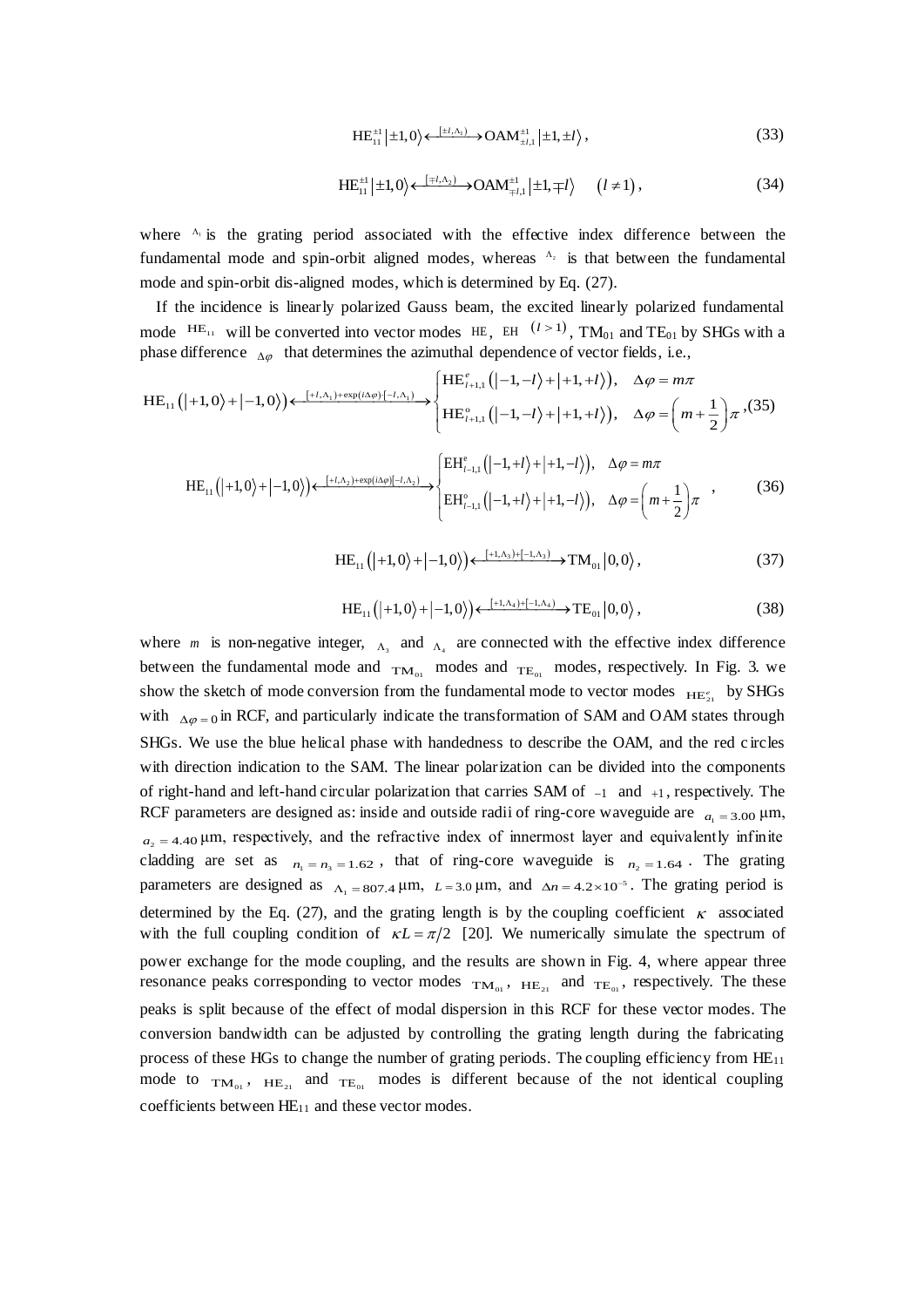$$
HE_{11}^{\pm 1}|\pm 1,0\rangle \leftarrow^{\{\pm l,\Lambda_1\}} \rightarrow OAM_{\pm l,1}^{\pm 1}|\pm 1,\pm l\rangle ,
$$
\n(33)

$$
HE_{11}^{\pm 1} | \pm 1, 0 \rangle \leftarrow \frac{[\mp l, \Lambda_2)}{\pm 1} \rightarrow \text{OAM}_{\mp l, 1}^{\pm 1} | \pm 1, \mp l \rangle \qquad (l \neq 1), \tag{34}
$$

where <sup>1</sup> is the grating period associated with the effective index difference between the fundamental mode and spin-orbit aligned modes, whereas  $A_2$  is that between the fundamental mode and spin-orbit dis-aligned modes, which is determined by Eq. (27).

If the incidence is linearly polarized Gauss beam, the excited linearly polarized fundamental mode  $^{\text{HE}_{11}}$  will be converted into vector modes HE, EH  $^{(l>1)}$ , TM<sub>01</sub> and TE<sub>01</sub> by SHGs with a phase difference  $\Delta \varphi$  that determines the azimuthal dependence of vector fields, i.e.,

$$
HE_{11}(|+1,0\rangle+|-1,0\rangle) \leftarrow \xrightarrow{[+l,\Lambda_1)+\exp(i\Delta\varphi)\{-l,\Lambda_1\}} \begin{cases} HE_{l+1,1}^e(|-1,-l\rangle+|+1,+l\rangle), & \Delta\varphi = m\pi \\ HE_{l+1,1}^o(|-1,-l\rangle+|+1,+l\rangle), & \Delta\varphi = \left(m+\frac{1}{2}\right)\pi, \end{cases} (35)
$$
\n
$$
HE_{l+1,1}^o(|-1,-l\rangle+|+1,+l\rangle), \quad \Delta\varphi = m\pi
$$
\n
$$
HE_{l+1,1}^o(|-1,+l\rangle+|+1,-l\rangle), \quad \Delta\varphi = m\pi
$$

$$
\mathrm{HE}_{11}\left(|+1,0\rangle+|-1,0\rangle\right) \leftarrow \xrightarrow{[+l,\Lambda_{2})+\exp(i\Delta\varphi)[-l,\Lambda_{2})} \begin{cases} \mathrm{EH}_{l-1,1}^{e}\left(|-1,+l\rangle+|+1,-l\rangle\right), & \Delta\varphi=m\pi\\ \mathrm{EH}_{l-1,1}^{o}\left(|-1,+l\rangle+|+1,-l\rangle\right), & \Delta\varphi=\left(m+\frac{1}{2}\right)\pi \end{cases},\tag{36}
$$

 $\mathrm{HE}_{11}\left(|+1,0\rangle+|-1,0\rangle\right)\leftarrow \frac{[+1,\Lambda_3)+[-1,\Lambda_3)}{+}-\mathrm{TM}_{01}|0,0\rangle$  $(37)$ 

$$
HE_{11}\left(|+1,0\rangle+|-1,0\rangle\right)\leftarrow \xrightarrow{[+1,\Lambda_4)+[-1,\Lambda_4]} TE_{01}|0,0\rangle\,,\tag{38}
$$

where *m* is non-negative integer,  $_{\Lambda_3}$  and  $_{\Lambda_4}$  are connected with the effective index difference between the fundamental mode and  $_{TM_{01}}$  modes and  $_{TE_{01}}$  modes, respectively. In Fig. 3. we show the sketch of mode conversion from the fundamental mode to vector modes  $_{\text{HE}_{21}^e}$  by SHGs with  $\Delta \varphi = 0$  in RCF, and particularly indicate the transformation of SAM and OAM states through SHGs. We use the blue helical phase with handedness to describe the OAM, and the red c ircles with direction indication to the SAM. The linear polarization can be divided into the components of right-hand and left-hand circular polarization that carries SAM of  $-1$  and  $+1$ , respectively. The RCF parameters are designed as: inside and outside radii of ring-core waveguide are  $a_1 = 3.00 \mu m$ ,  $a_2 = 4.40 \,\mu$ m, respectively, and the refractive index of innermost layer and equivalently infinite cladding are set as  $n_1 = n_3 = 1.62$ , that of ring-core waveguide is  $n_2 = 1.64$ . The grating parameters are designed as  $\Lambda_1 = 807.4 \mu m$ ,  $L = 3.0 \mu m$ , and  $\Delta n = 4.2 \times 10^{-5}$ . The grating period is =  $1.62$ , that of<br> $\Delta_1 = 807.4 \,\mu\text{m}$ , L determined by the Eq. (27), and the grating length is by the coupling coefficient  $\kappa$  associated with the full coupling condition of  $\kappa L = \pi/2$  [20]. We numerically simulate the spectrum of power exchange for the mode coupling, and the results are shown in Fig. 4, where appear three resonance peaks corresponding to vector modes  $TM_{01}$ ,  $HH_{21}$  and  $TE_{01}$ , respectively. The these peaks is split because of the effect of modal dispersion in this RCF for these vector modes. The conversion bandwidth can be adjusted by controlling the grating length during the fabricating process of these HGs to change the number of grating periods. The coupling efficiency from HE<sub>11</sub> mode to  $TM_{01}$ ,  $HE_{21}$  and  $TE_{01}$  modes is different because of the not identical coupling coefficients between  $HE_{11}$  and these vector modes.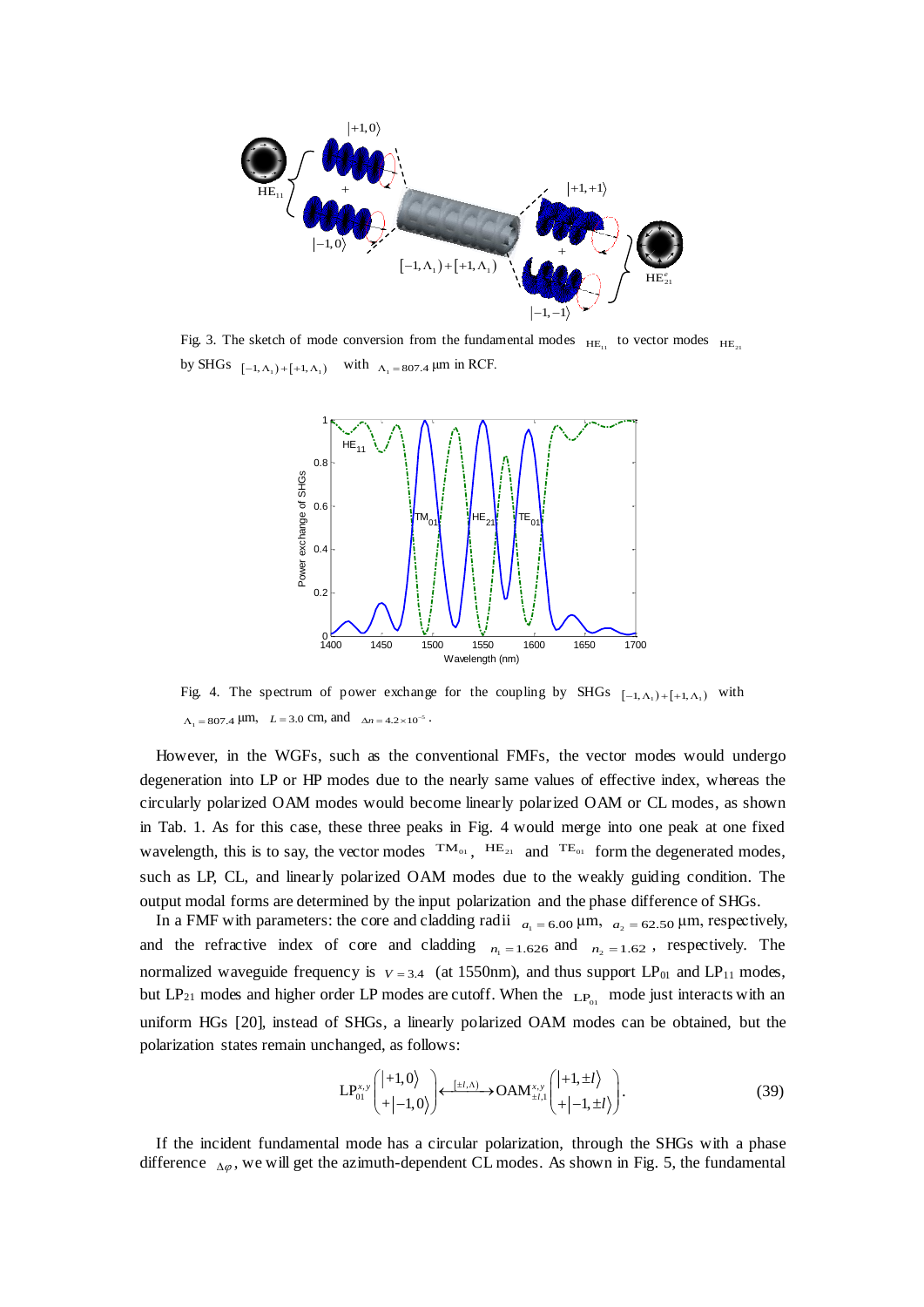

Fig. 3. The sketch of mode conversion from the fundamental modes  $_{HE_{11}}$  to vector modes  $_{HE_{21}}$ <br>by SHGs  $_{[-1, \Delta_1) + [-1, \Delta_1)}$  with  $_{\Delta_1 = 807.4}$  µm in RCF. by SHGs  $[-1, \Lambda_1) + [+1, \Lambda_1]$  with  $\Lambda_1 = 807.4$  µm in RCF.



Fig. 4. The spectrum of power exchange for the coupling by SHGs  $[-1, \Lambda_1) + [-1, \Lambda_1)$  with  $\Lambda_1 = 807.4 \text{ }\mu\text{m}, \quad L = 3.0 \text{ cm}, \text{ and } \Delta n = 4.2 \times 10^{-5}$ .  $\mu$ m,  $L = 3.0$  cm, and  $\Delta n = 4.2 \times 10^{-5}$ .

However, in the WGFs, such as the conventional FMFs, the vector modes would undergo degeneration into LP or HP modes due to the nearly same values of effective index, whereas the circularly polarized OAM modes would become linearly polarized OAM or CL modes, as shown in Tab. 1. As for this case, these three peaks in Fig. 4 would merge into one peak at one fixed wavelength, this is to say, the vector modes  $TM_{01}$ ,  $HH_{21}$  and  $TE_{01}$  form the degenerated modes, such as LP, CL, and linearly polarized OAM modes due to the weakly guiding condition. The output modal forms are determined by the input polarization and the phase difference of SHGs.

In a FMF with parameters: the core and cladding radii  $a_1 = 6.00 \mu m$ ,  $a_2 = 62.50 \mu m$ , respectively, and the refractive index of core and cladding  $n_1 = 1.626$  and  $n_2 = 1.62$ , respectively. The normalized waveguide frequency is  $v = 3.4$  (at 1550nm), and thus support LP<sub>01</sub> and LP<sub>11</sub> modes, but  $LP_{21}$  modes and higher order LP modes are cutoff. When the  $LP_{01}$  mode just interacts with an uniform HGs [20], instead of SHGs, a linearly polarized OAM modes can be obtained, but the polarization states remain unchanged, as follows:<br> $L P_{01}^{x,y} \left( \left| +1,0 \right\rangle \right) \left\{ \left| \left| +1,0 \right\rangle \right\} \right\} \left| \left| +1, \left| +1 \right\rangle \right|$  (39 polarization states remain unchanged, as follows:<br>  $LP_{01}^{x,y} \begin{pmatrix} |+1,0\rangle \\ |+|-1,0\rangle \end{pmatrix} \longleftrightarrow \text{OAM}_{\pm l}^{x,y}$ 

SHGs, a linearly polarized OAM modes can be obtained, but the  
hanged, as follows:  

$$
LP_{01}^{x,y} \begin{pmatrix} |+1,0\rangle \\ |+|-1,0\rangle \end{pmatrix} \leftarrow \begin{pmatrix} \pm i,\Delta \end{pmatrix} \rightarrow \text{OAM}_{\pm i,1}^{x,y} \begin{pmatrix} |+1,\pm l\rangle \\ |+|-1,\pm l\rangle \end{pmatrix}.
$$
(39)

If the incident fundamental mode has a circular polarization, through the SHGs with a phase difference  $_{\Delta\varphi}$ , we will get the azimuth-dependent CL modes. As shown in Fig. 5, the fundamental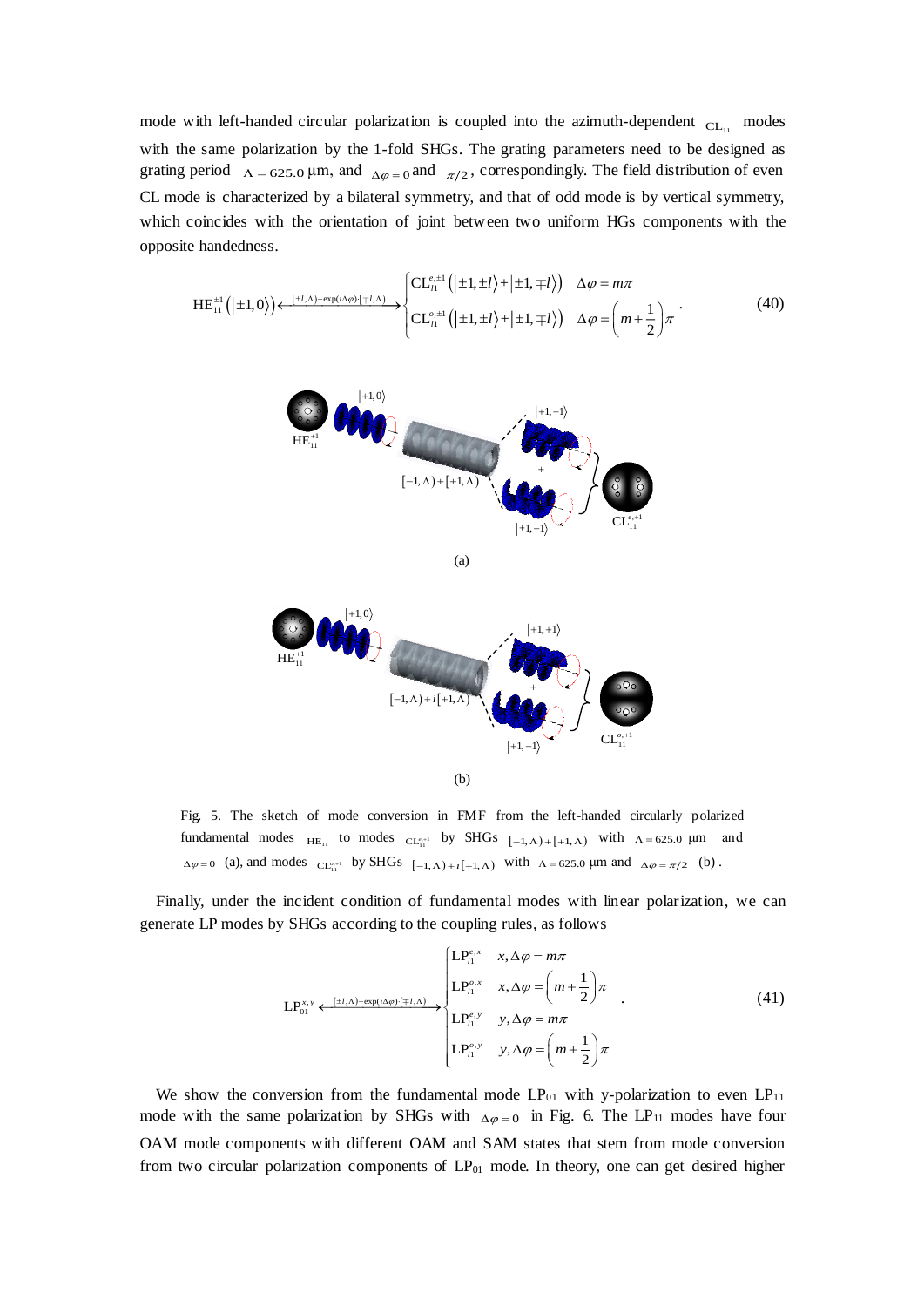mode with left-handed circular polarization is coupled into the azimuth-dependent  $CL_{11}$  modes with the same polarization by the 1-fold SHGs. The grating parameters need to be designed as mode with left-handed circular polarization is coupled into the azimuth-dependent  $CL<sub>11</sub>$  modes<br>with the same polarization by the 1-fold SHGs. The grating parameters need to be designed as<br>grating period  $\Lambda = 625.0 \mu$ CL mode is characterized by a bilateral symmetry, and that of odd mode is by vertical symmetry, which coincides with the orientation of joint between two uniform HGs components with the opposite handedness.

$$
HE_{11}^{\pm 1}(|\pm 1,0\rangle) \leftarrow \xrightarrow{[\pm l,\Lambda)+\exp(i\Delta\varphi)\cdot[\mp l,\Lambda)} \begin{cases} CE_{\ell 1}^{e,\pm 1}(|\pm 1,\pm l\rangle+|\pm 1,\mp l\rangle) & \Delta\varphi = m\pi \\ CE_{\ell 1}^{e,\pm 1}(|\pm 1,\pm l\rangle+|\pm 1,\mp l\rangle) & \Delta\varphi = \left(m+\frac{1}{2}\right)\pi \end{cases} \tag{40}
$$







Fig. 5. The sketch of mode conversion in FMF from the left-handed circularly polarized fundamental modes  $_{HE_{11}}$  to modes  $_{CL_{11}^{c,+1}}$  by SHGs  $_{[-1, \Lambda)+[+1, \Lambda)}$  with  $_{\Lambda=625.0}$   $\mu$ m and fundamental modes  $_{HE_{11}}$  to modes  $_{CL_{11}^{c,+1}}$  by SHGs  $[-1, \Lambda) + [+1, \Lambda)$  with  $\Lambda = 625.0 \mu m$  and  $_{\Delta\varphi} = 0$  (a), and modes  $_{CL_{11}^{c,+1}}$  by SHGs  $[-1, \Lambda) + i[+1, \Lambda)$  with  $\Lambda = 625.0 \mu m$  and  $_{\Delta\varphi} = \pi/2$  (b).

Finally, under the incident condition of fundamental modes with linear polarization, we can generate LP modes by SHGs according to the coupling rules, as follows<br>  $\begin{bmatrix} LP_0^{e,x} & x, \Delta \varphi = m\pi \end{bmatrix}$ 

$$
LP_{01}^{x,y} \xleftarrow{[\pm l,\Lambda)+\exp(i\Delta\varphi)\cdot[\mp l,\Lambda]} \begin{cases} LP_{l1}^{e,x} & x,\Delta\varphi = m\pi \\ LP_{l1}^{e,x} & x,\Delta\varphi = \left(m+\frac{1}{2}\right)\pi \\ LP_{l1}^{e,y} & x,\Delta\varphi = m\pi \\ LP_{l1}^{e,y} & y,\Delta\varphi = m\pi \end{cases} \tag{41}
$$

We show the conversion from the fundamental mode  $LP_{01}$  with y-polarization to even  $LP_{11}$ mode with the same polarization by SHGs with  $\Delta \varphi = 0$  in Fig. 6. The LP<sub>11</sub> modes have four OAM mode components with different OAM and SAM states that stem from mode conversion from two circular polarization components of  $LP_{01}$  mode. In theory, one can get desired higher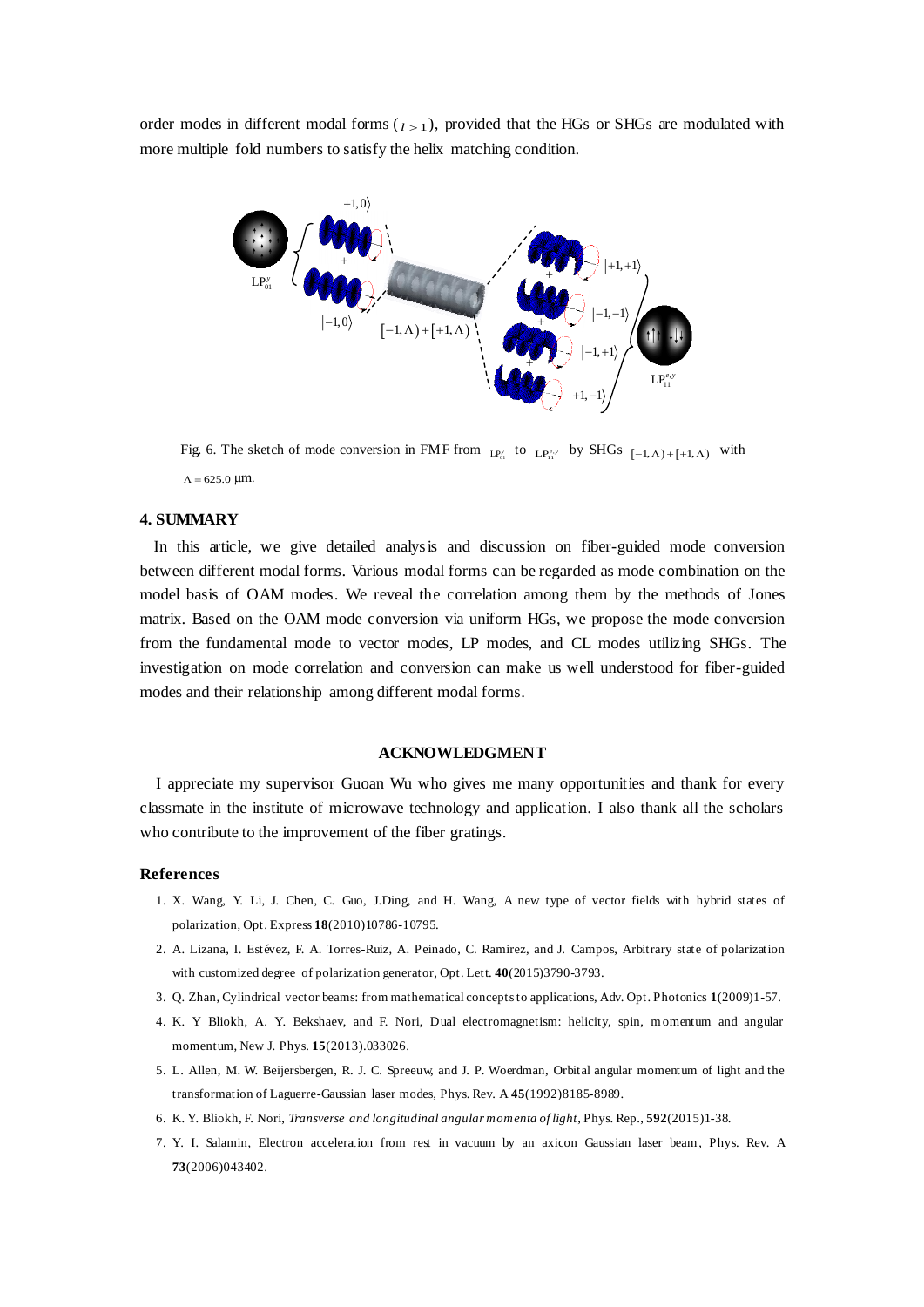order modes in different modal forms  $\binom{l}{1}$ , provided that the HGs or SHGs are modulated with more multiple fold numbers to satisfy the helix matching condition.



Fig. 6. The sketch of mode conversion in FMF from  $_{LP_{11}^s}$  to  $_{LP_{11}^{e,s}}$  by SHGs  $[-1, \Lambda)$ + $[+1, \Lambda)$  with  $\Lambda = 625.0$  µm.  $\Lambda$  = 625.0 µm.

# **4. SUMMARY**

 In this article, we give detailed analysis and discussion on fiber-guided mode conversion between different modal forms. Various modal forms can be regarded as mode combination on the model basis of OAM modes. We reveal the correlation among them by the methods of Jones matrix. Based on the OAM mode conversion via uniform HGs, we propose the mode conversion from the fundamental mode to vector modes, LP modes, and CL modes utilizing SHGs. The investigation on mode correlation and conversion can make us well understood for fiber-guided modes and their relationship among different modal forms.

## **ACKNOWLEDGMENT**

I appreciate my supervisor Guoan Wu who gives me many opportunities and thank for every classmate in the institute of microwave technology and application. I also thank all the scholars who contribute to the improvement of the fiber gratings.

#### **References**

- 1. X. Wang, Y. Li, J. Chen, C. Guo, J.Ding, and H. Wang, A new type of vector fields with hybrid states of polarization, Opt. Express **18**(2010)10786-10795.
- 2. A. Lizana, I. Estévez, F. A. Torres-Ruiz, A. Peinado, C. Ramirez, and J. Campos, Arbitrary state of polarization with customized degree of polarization generator, Opt. Lett. **40**(2015)3790-3793.
- 3. Q. Zhan, Cylindrical vector beams: from mathematical concepts to applications, Adv. Opt. Photonics **1**(2009)1-57.
- 4. K. Y Bliokh, A. Y. Bekshaev, and F. Nori, Dual electromagnetism: helicity, spin, momentum and angular momentum, New J. Phys. **15**(2013).033026.
- 5. L. Allen, M. W. Beijersbergen, R. J. C. Spreeuw, and J. P. Woerdman, Orbital angular momentum of light and the transformation of Laguerre-Gaussian laser modes, Phys. Rev. A **45**(1992)8185-8989.
- 6. K. Y. Bliokh, F. Nori, *Transverse and longitudinal angular momenta of light*, Phys. Rep., **592**(2015)1-38.
- 7. Y. I. Salamin, [Electron acceleration from rest in vacuum by an axicon Gaussian laser beam,](http://apps.webofknowledge.com/full_record.do?product=WOS&search_mode=Refine&qid=4&SID=Y1tRh9zoUSkuDF69UPN&page=1&doc=9&cacheurlFromRightClick=no) Phys. Rev. A **73**(2006)043402.